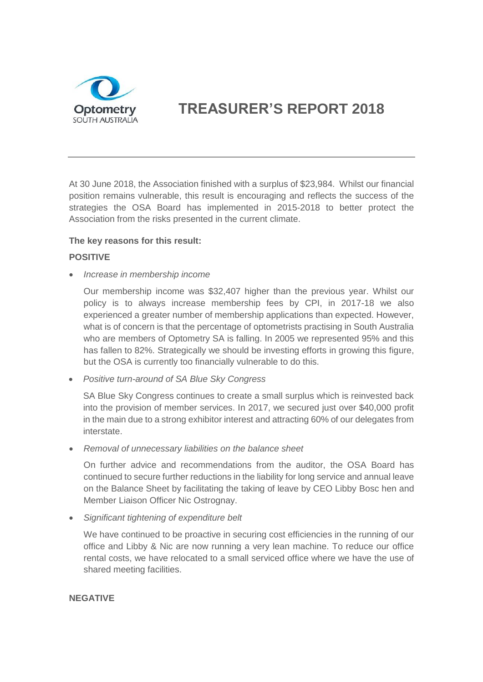

# **TREASURER'S REPORT 2018**

At 30 June 2018, the Association finished with a surplus of \$23,984. Whilst our financial position remains vulnerable, this result is encouraging and reflects the success of the strategies the OSA Board has implemented in 2015-2018 to better protect the Association from the risks presented in the current climate.

#### **The key reasons for this result:**

## **POSITIVE**

• *Increase in membership income*

Our membership income was \$32,407 higher than the previous year. Whilst our policy is to always increase membership fees by CPI, in 2017-18 we also experienced a greater number of membership applications than expected. However, what is of concern is that the percentage of optometrists practising in South Australia who are members of Optometry SA is falling. In 2005 we represented 95% and this has fallen to 82%. Strategically we should be investing efforts in growing this figure, but the OSA is currently too financially vulnerable to do this.

• *Positive turn-around of SA Blue Sky Congress*

SA Blue Sky Congress continues to create a small surplus which is reinvested back into the provision of member services. In 2017, we secured just over \$40,000 profit in the main due to a strong exhibitor interest and attracting 60% of our delegates from interstate.

• *Removal of unnecessary liabilities on the balance sheet*

On further advice and recommendations from the auditor, the OSA Board has continued to secure further reductions in the liability for long service and annual leave on the Balance Sheet by facilitating the taking of leave by CEO Libby Bosc hen and Member Liaison Officer Nic Ostrognay.

• *Significant tightening of expenditure belt*

We have continued to be proactive in securing cost efficiencies in the running of our office and Libby & Nic are now running a very lean machine. To reduce our office rental costs, we have relocated to a small serviced office where we have the use of shared meeting facilities.

#### **NEGATIVE**